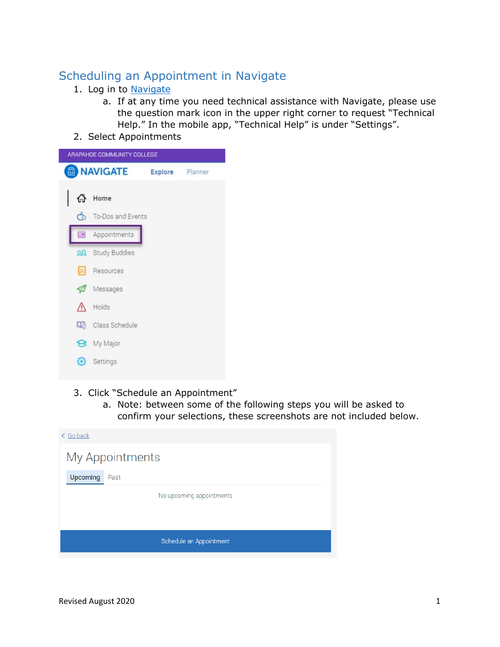# Scheduling an Appointment in Navigate

## 1. Log in to [Navigate](https://arapahoe.navigate.eab.com/app/#!/authentication/remote/)

- a. If at any time you need technical assistance with Navigate, please use the question mark icon in the upper right corner to request "Technical Help." In the mobile app, "Technical Help" is under "Settings".
- 2. Select Appointments



- 3. Click "Schedule an Appointment"
	- a. Note: between some of the following steps you will be asked to confirm your selections, these screenshots are not included below.

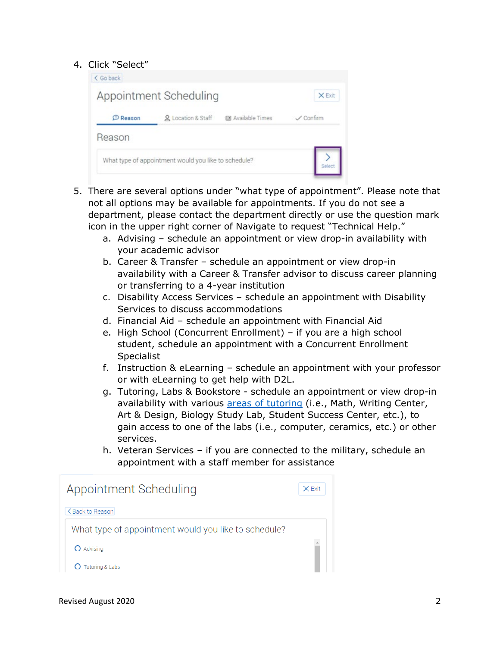## 4. Click "Select"

|                 | Appointment Scheduling                               |                   | X Exit           |
|-----------------|------------------------------------------------------|-------------------|------------------|
| <b>C</b> Reason | & Location & Staff                                   | 图 Available Times | $\angle$ Confirm |
| Reason          |                                                      |                   |                  |
|                 | What type of appointment would you like to schedule? |                   |                  |

- 5. There are several options under "what type of appointment". Please note that not all options may be available for appointments. If you do not see a department, please contact the department directly or use the question mark icon in the upper right corner of Navigate to request "Technical Help."
	- a. Advising schedule an appointment or view drop-in availability with your academic advisor
	- b. Career & Transfer schedule an appointment or view drop-in availability with a Career & Transfer advisor to discuss career planning or transferring to a 4-year institution
	- c. Disability Access Services schedule an appointment with Disability Services to discuss accommodations
	- d. Financial Aid schedule an appointment with Financial Aid
	- e. High School (Concurrent Enrollment) if you are a high school student, schedule an appointment with a Concurrent Enrollment **Specialist**
	- f. Instruction & eLearning schedule an appointment with your professor or with eLearning to get help with D2L.
	- g. Tutoring, Labs & Bookstore schedule an appointment or view drop-in availability with various [areas of tutoring](https://www.arapahoe.edu/advising-support/tutoring) (i.e., Math, Writing Center, Art & Design, Biology Study Lab, Student Success Center, etc.), to gain access to one of the labs (i.e., computer, ceramics, etc.) or other services.
	- h. Veteran Services if you are connected to the military, schedule an appointment with a staff member for assistance

| Appointment Scheduling                               | X Exit |
|------------------------------------------------------|--------|
| <back reason<="" td="" to=""><td></td></back>        |        |
| What type of appointment would you like to schedule? |        |
| Advising                                             |        |
| Tutoring & Labs                                      |        |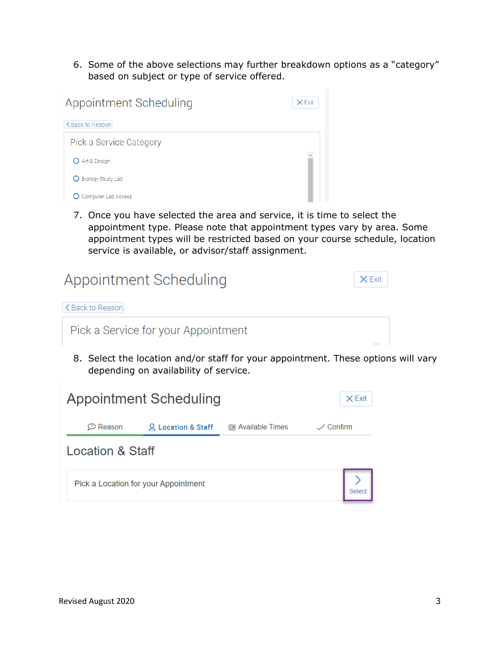6. Some of the above selections may further breakdown options as a "category" based on subject or type of service offered.



7. Once you have selected the area and service, it is time to select the appointment type. Please note that appointment types vary by area. Some appointment types will be restricted based on your course schedule, location service is available, or advisor/staff assignment.

| Appointment Scheduling                                                         | X Exit |
|--------------------------------------------------------------------------------|--------|
| <back reason<="" td="" to=""><td></td></back>                                  |        |
| Pick a Service for your Appointment                                            |        |
| 0. Celest the less tien and less staff fermonic annotatment. These entires wil |        |

8. Select the location and/or staff for your appointment. These options will vary depending on availability of service.

|                     | <b>Appointment Scheduling</b>        |                      | $\times$ Exit      |
|---------------------|--------------------------------------|----------------------|--------------------|
| $\mathcal D$ Reason | <u>Q</u> Location & Staff            | iiii Available Times | $\swarrow$ Confirm |
| Location & Staff    |                                      |                      |                    |
|                     | Pick a Location for your Appointment |                      |                    |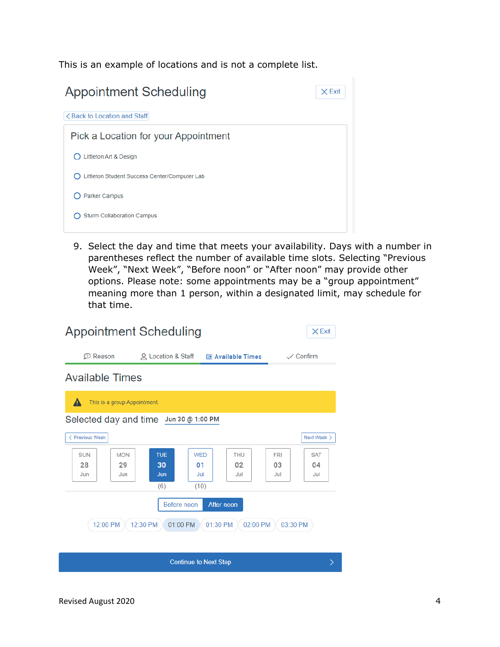This is an example of locations and is not a complete list.



9. Select the day and time that meets your availability. Days with a number in parentheses reflect the number of available time slots. Selecting "Previous Week", "Next Week", "Before noon" or "After noon" may provide other options. Please note: some appointments may be a "group appointment" meaning more than 1 person, within a designated limit, may schedule for that time.

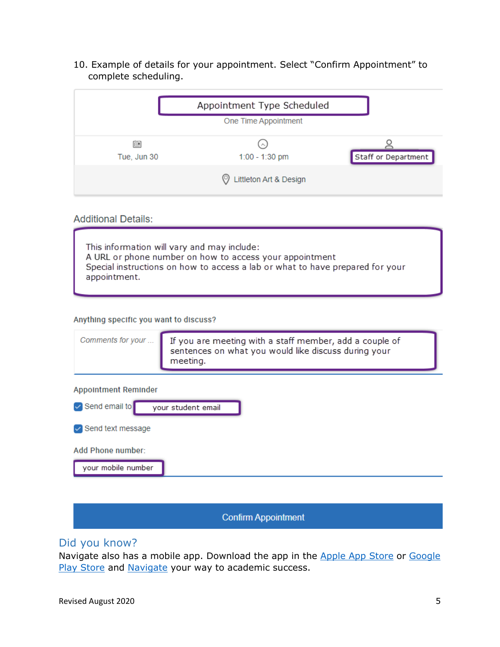10. Example of details for your appointment. Select "Confirm Appointment" to complete scheduling.

|                  | Appointment Type Scheduled    |                     |
|------------------|-------------------------------|---------------------|
|                  | One Time Appointment          |                     |
| 偂<br>Tue, Jun 30 | $\sim$<br>1:00 - 1:30 pm      | Staff or Department |
|                  | Littleton Art & Design<br>(၁) |                     |

### **Additional Details:**

This information will vary and may include: A URL or phone number on how to access your appointment Special instructions on how to access a lab or what to have prepared for your appointment.

#### Anything specific you want to discuss?

| Comments for your                       | If you are meeting with a staff member, add a couple of<br>sentences on what you would like discuss during your<br>meeting. |
|-----------------------------------------|-----------------------------------------------------------------------------------------------------------------------------|
| <b>Appointment Reminder</b>             |                                                                                                                             |
| $\triangledown$ Send email to           | your student email                                                                                                          |
| $\vee$ Send text message                |                                                                                                                             |
| Add Phone number:<br>your mobile number |                                                                                                                             |

## **Confirm Appointment**

## Did you know?

Navigate also has a mobile app. Download the app in the [Apple App Store](https://apps.apple.com/us/app/navigate-student/id950433229) or Google [Play Store](https://play.google.com/store/apps/details?id=com.eab.se&hl=en_US) and [Navigate](https://bannercas.cccs.edu/cas/login?service=https://arapahoe.navigate.eab.com/api/v1/core/login/cas/) your way to academic success.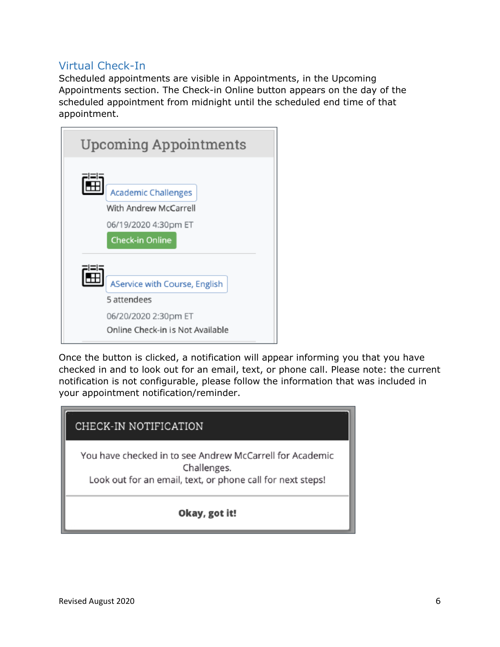## Virtual Check-In

Scheduled appointments are visible in Appointments, in the Upcoming Appointments section. The Check-in Online button appears on the day of the scheduled appointment from midnight until the scheduled end time of that appointment.



Once the button is clicked, a notification will appear informing you that you have checked in and to look out for an email, text, or phone call. Please note: the current notification is not configurable, please follow the information that was included in your appointment notification/reminder.